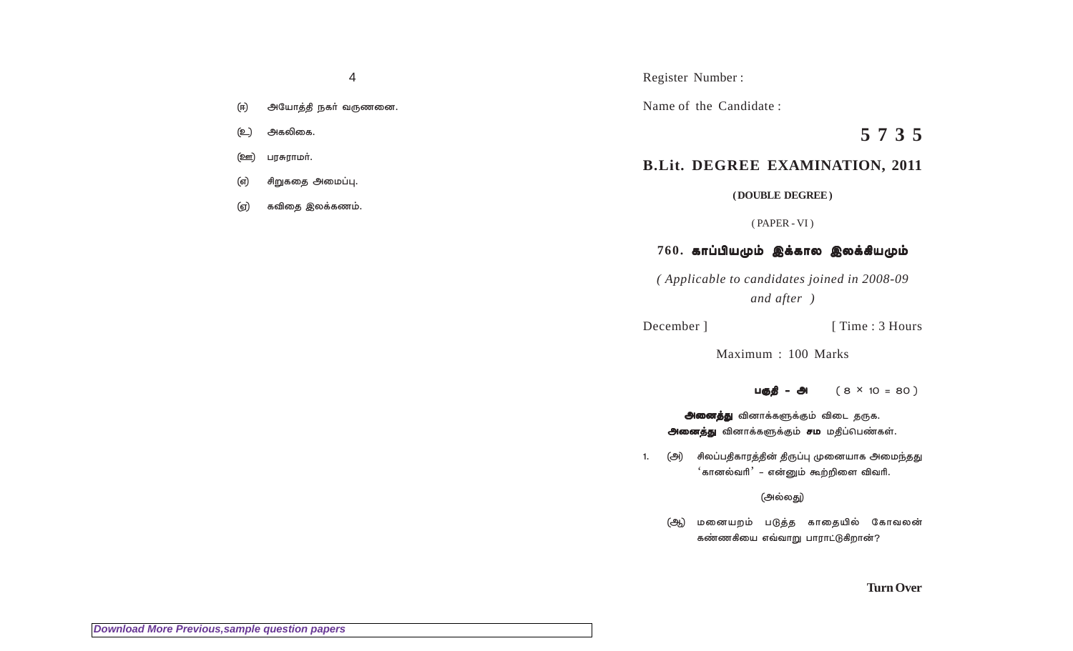- அயோத்தி நகர் வருணனை. (ஈ)
- அகலிகை. (உ)
- பரசுராமர். <u>(ஊ)</u>
- சிறுகதை அமைப்பு. (எ)
- கவிதை இலக்கணம். (ஏ)

Register Number:

Name of the Candidate:

5735

# **B.Lit. DEGREE EXAMINATION, 2011**

(DOUBLE DEGREE)

 $(PAPER - VI)$ 

## $760.$  காப்பியமும் இக்கால இலக்கியமும்

(Applicable to candidates joined in 2008-09) and after )

December ]

[Time: 3 Hours]

Maximum: 100 Marks

 $(8 \times 10 = 80)$ பகுதி – அ

அனைத்து வினாக்களுக்கும் விடை தருக. அனைத்து வினாக்களுக்கும் சம மதிப்பெண்கள்.

(அ) சிலப்பதிகாரத்தின் திருப்பு முனையாக அமைந்தது  $1.$ ்கானல்வரி<sup>'</sup> – என்னும் கூற்றிளை விவரி.

(அல்லது)

மனையறம் படுத்த காதையில் கோவலன் (ஆ) கண்ணகியை எவ்வாறு பாராட்டுகிறான்?

**Turn Over**